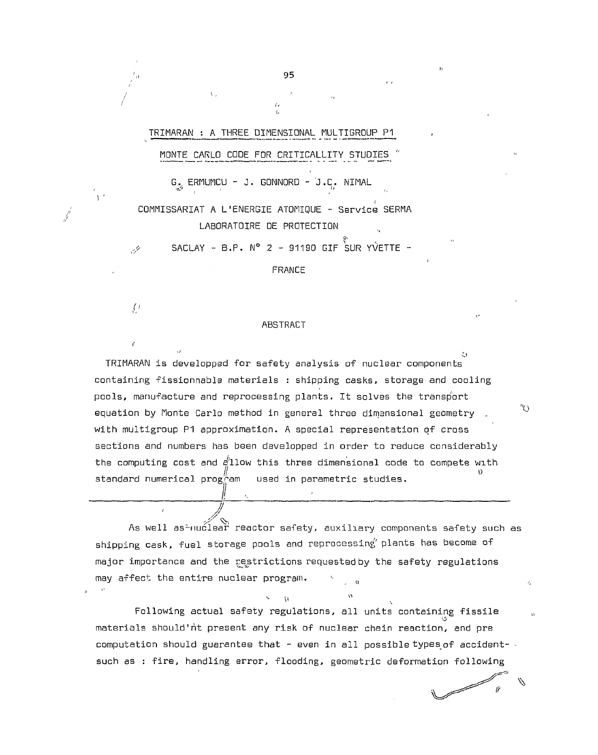TRIMARAN : A THREE DIMENSIONAL MULTIGROUP P1

 $\mathbf{t}$ 

/ /

*(* 

 $\ell$ 

# MONTE CARLO CODE FOR CRITICALLITY STUDIES "

G. ERMUMCU - J. GONNORD - J.C. NIMAL *•* ' ' *i,* 

COMMISSARIAT A L'ENERGIE ATOMIQUE - Service SERMA LABORATOIRE DE PROTECTION

 $SACLAY - B.P. N<sup>o</sup> 2 - 91190 GIF$  SUR YVETTE -14

**FRANCE** 

#### ABSTRACT

 $\ddot{\mathbf{u}}$ TRIMARAN is developped for safety analysis of nuclear components containing fissionnable materials : shipping casks, storage and cooling pools, manufacture and reprocessing plants. It solves the transport equation by Monte Carlo method in general three dimensional geometry . with multigroup P1 approximation. A special representation of cross sections and numbers has been developped in order to reduce considerably the computing cost and  $e^{\prime}$ llow this three dimensional code to compete with standard numerical prog<sup>"</sup>am used in parametric studies. standard numerical program used in parameterization  $\mathcal{Y}$ 

I •. :

may affect the entire nuclear program.

As well as\*nuclear reactor safety, auxiliary components safety such as shipping cask, fuel storage pools and reprocessing plants has become of major importance and the restrictions requested by the safety regulations may affect the entire nuclear program.  $\sim$ 

tion of the co-

 $"O$ 

 $\mathcal{D}$ 

 $\tilde{r}$ 

e de la compagnie de la compagnie de la compagnie de la compagnie de la compagnie de la compagnie de la compa<br>La compagnie de la compagnie de la compagnie de la compagnie de la compagnie de la compagnie de la compagnie d

Following actual safety regulations, all units containing fissile materials should'nt present any risk of nuclear chain reaction, and pre computation should guarantee that  $-$  even in all possible types of accident- $\sim$ such as : fire, handling error, flooding, geometric deformation following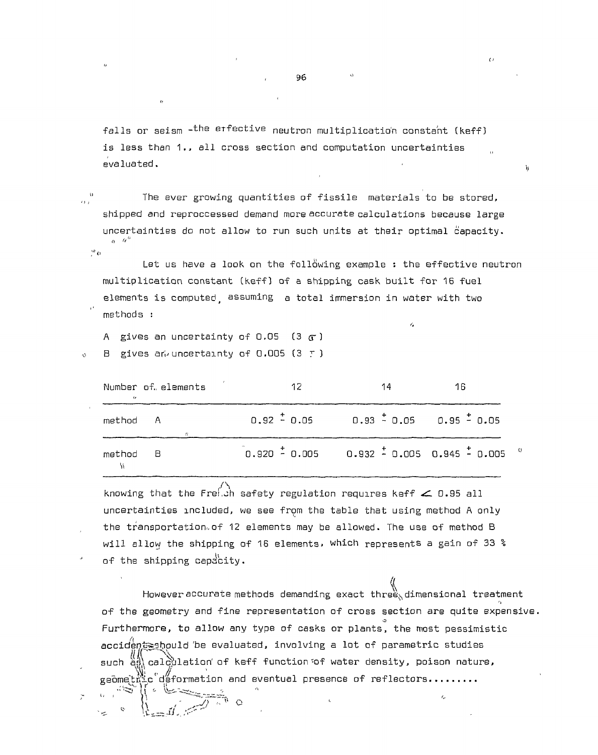falls or seism -<sup>the erfective</sup> neutron multiplication constant (keff) is less than 1., all cross section and computation uncertainties evaluated.

The ever growing quantities of fissile materials to be stored,  $\overline{B}$ shipped and reproccessed demand more accurate calculations because large uncertainties da not allow to run such units at their optimal capacity.  $o \cdot p^k$  $\mathcal{P}$  o

Let us have a look on the foll $\ddot{o}$ wing example : the effective neutron multiplication constant (keff) of a shipping cask built for 16 fuel elements is computed assuming a total immersion in water with two methods :

 $\lambda$ 

A gives an uncertainty of  $0.05$  (3  $\sigma$ )

B gives an uncertainty of 0.005 (3 F )

| Number of elements<br>$\epsilon$ |          | 12                                              | 14 | 16 |  |
|----------------------------------|----------|-------------------------------------------------|----|----|--|
| method A                         |          | $0.92 \pm 0.05$ $0.93 \pm 0.05$ $0.95 \pm 0.05$ |    |    |  |
| method                           | $\Box$ B |                                                 |    |    |  |

knowing that the Freith safety regulation requires keff  $\leq$  0.95 all uncertainties included, we see from the table that using method A only the transportation. of 12 elements may be allowed. The use of method B will allow the shipping of 16 elements, which represents a gain of 33  $\degree$ will allow the shipping of 16 elements, which represents, which represents, which represents a gain of 33  $\mu$ of the shipping capacity.

*However* accurate methods demanding exact three, dimensional treatment of the geometry and fine representation of cross section are quite expensive. Furthermore, to allow any type of casks or plants, the most pessimistic accident should be evaluated, involving a lot of parametric studies accidentual 'be evaluation' of keff function of water density, poison pature<br>evaluation of keff function of water density, poison pature such as\ calculation' of keff function "of water density, poison nature, */ <sup>j</sup>*  $\mathbf{g}$ eome $\mathbf{h}_1^W$   $\mathbf{c}^e$  deformation and eventual presence of reflectors........  $r_{\rm m}$ 

 $\mathbf{h}$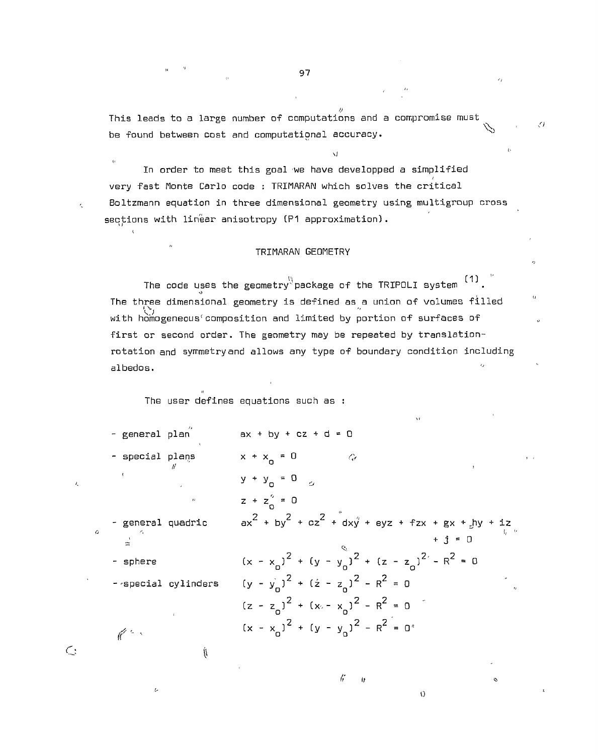This leads to a large number of computations and a compromise must Z) be found between cost and computational accuracy. <sup>N</sup>"

*si* 

 $\epsilon_{i}$ 

 $\mathbf{r}$ 

*i<*  In order to meet this goal we have developped a simplified *i*  very fast Monte Carlo code : TRIMARAN which solves the critical Boltzmann equation in three dimensional geometry using multigroup cross sections with linear anisotropy (P1 approximation).

#### TRIMARAN GEOMETRY

The code uses the geometry $^{\backslash\!\langle}$ package of the TRIPOLI system  $^{\text{\tiny{\textsf{(1)}}}}$  . The three dimensional geometry is defined as a union of volumes filled 'Ov with homogeneous run in the component of surfaces of surfaces of surfaces of surfaces of surfaces of surfaces of surfaces of surfaces of surfaces of surfaces of surfaces of surfaces of surfaces of surfaces of surfaces of s rotation and symmetry and allows any type of boundary condition including rotation and symmetry and allows and allows and allows any type of boundary condition including  $\alpha$ 

The user defines equations such as :

(۱

 $\epsilon$ 

 $\ell_{\star}$ 

 $\mathsf{C}$ 

t.

|   | - general plan    |                     | $ax + by + cz + d = 0$                                                     |
|---|-------------------|---------------------|----------------------------------------------------------------------------|
|   | - special plans   |                     | $x + x_0 = 0$<br>$\hat{G}$                                                 |
|   |                   |                     | $y + y_0 = 0$ $\alpha$                                                     |
|   |                   | $\mathbf{H}$        | $z + z_0^2 = 0$                                                            |
| O | - general quadric |                     | $ax^{2} + by^{2} + cz^{2} + dxy' + eyz + fzx + gx + jhy + iz$<br>$+ i = 0$ |
|   | - sphere          |                     | $(x - x_0)^2 + (y - y_0)^2 + (z - z_0)^2 - R^2 = 0$                        |
|   |                   | - special cylinders | $(y - y_n)^2 + (z - z_n)^2 - R^2 = 0$                                      |
|   |                   |                     | $(z - z_0)^2 + (x_0 - x_0)^2 - R^2 = 0$                                    |
|   | $\ell$ .          |                     | $(x - x_0)^2 + (y - y_0)^2 - R^2 = 0$                                      |
|   |                   |                     |                                                                            |

 $\frac{1}{2}$ 

 $\ddot{ }$ 

 $\Omega$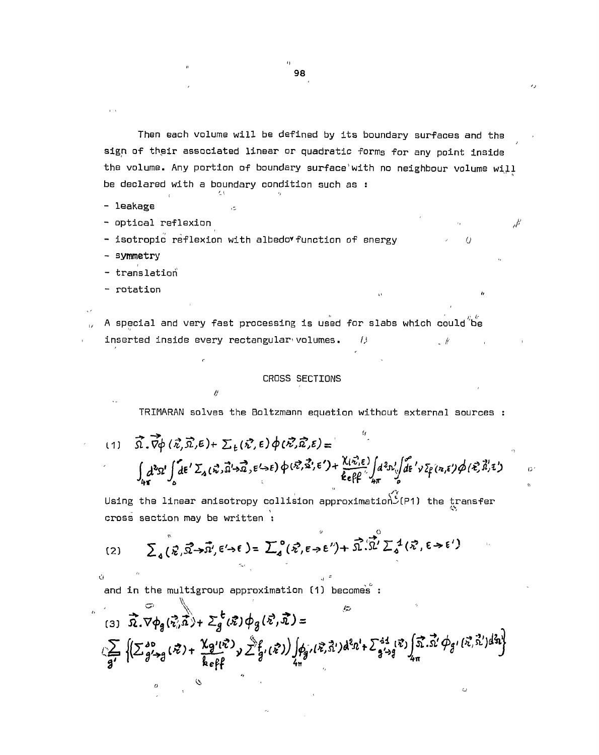Then each volume will be defined by its boundary surfaces and the sign of their associated linear or quadratic forms for any point inside the volume. Any portion of boundary surface'with no neighbour volume will be declared with a boundary condition **such** as :

- leakage

- optical reflexion

- isotropic reflexion with albedo\*function of energy ' *0* 

**- symmetry** 

- translation

- rotation and in the second contract of  $\alpha$  is a second contract of  $\alpha$  is a second contract of  $\alpha$ 

*u* 

A special and very fast processing is used for slabs which could be inserted inside every rectangular volumes.  $\qquad$ 

### **CROSS SECTIONS**

insterted installar the every rectangular  $\mathcal{C}$  (  $\mathcal{C}$  ) and  $\mathcal{C}$  (  $\mathcal{C}$  (  $\mathcal{C}$  ) and  $\mathcal{C}$  (  $\mathcal{C}$  ) and  $\mathcal{C}$  (  $\mathcal{C}$  ) and  $\mathcal{C}$  (  $\mathcal{C}$  ) and  $\mathcal{C}$  (  $\mathcal{C}$  ) and  $\mathcal{C}$  (

TRIMARAN solves the Boltzmann equation without external sources :

 $\vec{\Omega} \cdot \vec{\nabla} \phi (\vec{\kappa}, \vec{\Omega}, \epsilon) + \sum_{k} (\vec{\kappa}, \epsilon) \phi (\vec{\kappa}, \vec{\Omega}, \epsilon) = 0$  $\int d^3\Omega' \int d\epsilon'$   $\mathcal{L}_A(\kappa)$   $\Omega \rightarrow \epsilon \rightarrow \epsilon$  )  $\psi$  (  $\epsilon \rightarrow \epsilon$ )  $\frac{1}{4\pi}$  o  $\frac{1}{2}$  is the set of  $\frac{1}{4\pi}$  of  $\frac{1}{2}$ 

Using the linear anisotropy collision approximation $\tilde{S}(\text{P1})$  the transfer cross section may be written :

o  $(2)$   $\sum_{\lambda}$   $(\vec{\mathbf{z}})$ 

and in the multigroup approximation (1) becomes :

*it* 

 $\sum_{(3)} \overrightarrow{\Omega} \cdot \nabla \phi_g(\overrightarrow{\zeta}_i \overrightarrow{\tilde{x}}) + \sum_g^t (\overrightarrow{x}) \phi_g(\overrightarrow{x}, \overrightarrow{\tilde{x}}) =$  $\sum_{\substack{g'\to 0\\g'\to g}}\left\{\left(\sum_{g'\to g}^{g_0}(\vec{x})+\frac{\chi_{g'}(\vec{x})}{k\operatorname{eff}}\right)_{\mathcal{Y}}\sum_{g'}^{s}\hat{f}_{g'}(\vec{x})\right)\int_{\mathcal{H}^s_g}(\vec{x},\vec{x}')d^2x' +\sum_{g'\to g}^{44}(\vec{x})\int_{4\pi} \vec{x}.\vec{x}'\,\phi_{g'}(\vec{x},\vec{x}')d^2x'\right\}$ 

98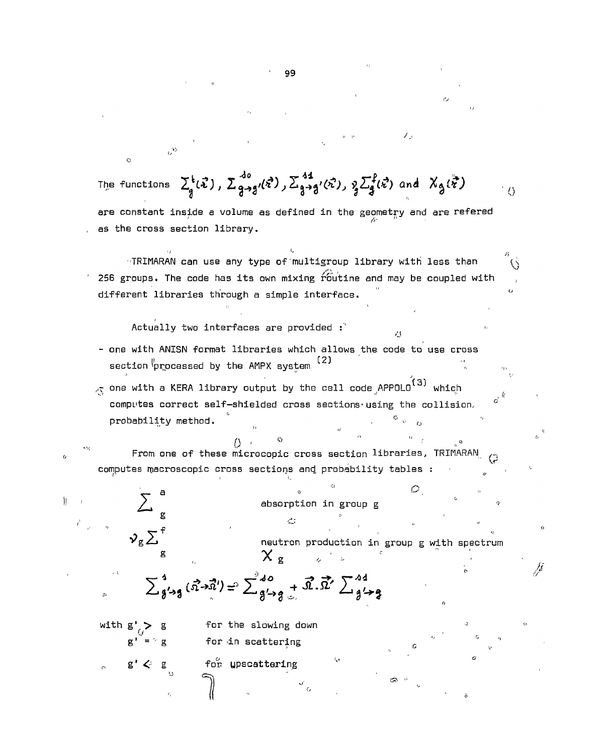$\mathcal{F}_{\mathcal{D}}$  $\sim$ The functions  $\sum_{q}^{t}(\vec{x})$ ,  $\sum_{q\rightarrow q'}^{d_0}(\vec{x})$ ,  $\sum_{q\rightarrow q'}^{44}(\vec{x})$ ,  $\sum_{q}^{f}(\vec{x})$  and  $X_q(\vec{x})$  $\langle$  () are constant inside a volume as defined in the geometry and are refered as the cross section library. "TRIMARAN can use any type of multigroup library with less than  $\overline{\mathcal{C}}$ 256 groups. The code has its own mixing  $\widehat{\operatorname{r}^{2}}$  outine and may be coupled with different libraries through a simple interface. Actually two interfaces are provided : - one with ANISN format libraries which allows the code to use cross section  $\sqrt[p]{p}$  processed by the AMPX system  $(2)$  $\frac{1}{\sqrt{2}}$  one with a KERA library output by the cell code  $\mathsf{APPOL0} ^ {\mathbf (3)}$  which  $\int_{0}^{1}$ computes correct self-shielded cross sections-using the collision, *a*   $\frac{a}{\sqrt{2}}$   $\frac{a}{\sqrt{2}}$ probability method.  $\begin{array}{c} \text{()} & \text{()} & \text{()} \\ \text{From one of these microcopic cross section libraries, TRIMARAN)} \end{array}$ From one of these microcopic cross section libraries, TRIMARAN computes npacroscopic cross sections and probability tables  $\mathcal{L}$  $\sum$  $\mathbf{a}$  and  $\mathbf{b}$  is the internal point of  $\mathbf{b}$  in the internal point of  $\mathbf{b}$ Ĭľ absorption in group g absorption in group group g  $\alpha$  in group g  $\alpha$  in group g  $\alpha$  $\mathcal{V}_{g}\sum$ <sup>f</sup>  $\sum$ <sup>f</sup> neutron production in group g with spectrum  $\mathbf{f}$  . The set of the set of the set of the set of the set of the set of the set of the set of the set of the set of the set of the set of the set of the set of the set of the set of the set of the set of the set of t  $\chi$ <sub>g</sub>  $\mathcal{L}^{\pm}$ M  $\sum_{g' \rightarrow g}^{4} (\vec{x} \rightarrow \vec{x}') = \sum_{g' \rightarrow g}^{40} + \vec{x} \cdot \vec{x}' \sum_{g' \rightarrow g}^{44}$ with  $g'_{f}$  > g for the slowing down *0* , *•*  g' = 'g for in scattering *a*  $g' \leftrightarrow g$ for upscattering

99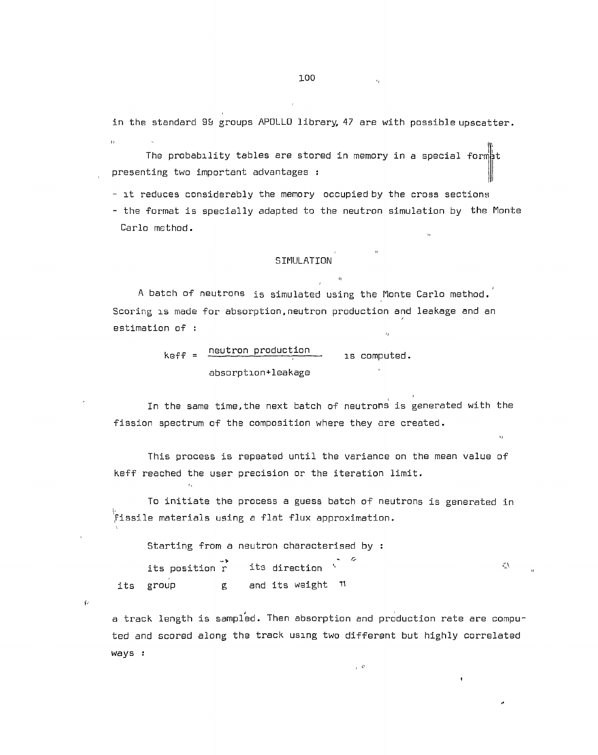in the standard 99 groups APOLLO library, 47 are with possible upscatter.  $\overline{11}$ 

The probability tables are stored in memory in a special form $\uparrow$ t presenting two important advantages :

- it reduces considerably the memory occupied by the cross sections

- the format is specially adapted to the neutron simulation by the Monte Carlo method.

 $\left\langle \right\rangle$ 

# SIMULATION

A batch of neutrons is simulated using the Monte Carlo method.' Scoring is made for absorption,neutron production and leakage and an estimation of :

> $k$ eff =  $\frac{neutron\ production}{\pi}$  ,  $\frac{1}{k}$  computed. absorption\*leakage

In the same time,the next batch of neutrons is generated with the fission spectrum of the composition where they are created.

This process is repeated until the variance on the mean value of keff reached the user precision or the iteration limit.

To initiate the process a guess batch of neutrons is generated in  $\check{f}$ issile materials using a flat flux approximation.

Starting from a neutron characterised by :

\

 $\sqrt{2}$ 

its position r its direction  $\sim$  $\zeta\lambda$ its group g and its weight  $\pi$ 

a track length is sampled. Then absorption and production rate are computed and scored along the track using two different but highly correlated ways :

 $_{\rm r}$   $\beta$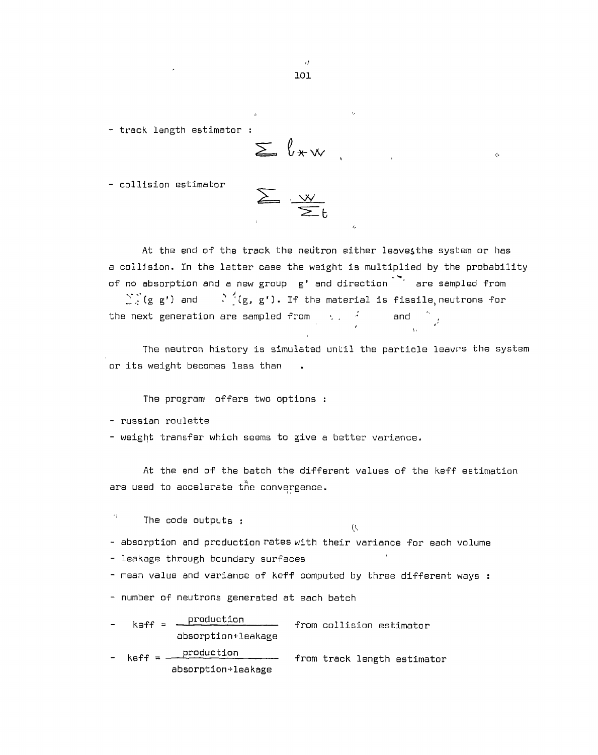- track length estimator :

$$
\sum_{\alpha} \ell_{\star} \cdot \mathbf{w}
$$

 $\overline{L}$ 

- collision estimator

$$
\sum_{\alpha} \frac{1}{\alpha} \sum_{\alpha} \frac{1}{\alpha} \frac{1}{\alpha}
$$

At the end of the track the neutron either leavesthe system or has a collision. In the latter case the weight is multiplied by the probability of no absorption and a new group g' and direction ' are sampled from  $\sum^{\infty}_{i=1}$  (g g') and  $\sum^{\infty}_{i=1}$  (g, g'). If the material is fissile, neutrons for the next generation are sampled from  $\langle \cdot \rangle_{\mathbb{R}} = \frac{1}{\ell} \qquad \qquad \text{and} \qquad \frac{\gamma_{\mathbb{R}}}{\ell}$ 

The neutron history is simulated until the particle leavrs the system or its weight becomes less than

The program offers two options :

- russian roulette

 $\epsilon_{\rm F}$ 

- weight transfer which seems to give a better variance.

At the end of the batch the different values of the keff estimation are used to accelerate the convergence.

The code outputs :

 $(\mathbf{t},$ 

- absorption and production rates with their variance for each volume

- leakage through boundary surfaces

- mean value and variance of keff computed by three different ways :

- number of neutrons generated at each batch

 $k$ eff =  $\frac{production}{r}$  from collision estimator absorption+leakage

 $k$ eff =  $\frac{production}{}$ abscrption+leakage keff = production from track length estimator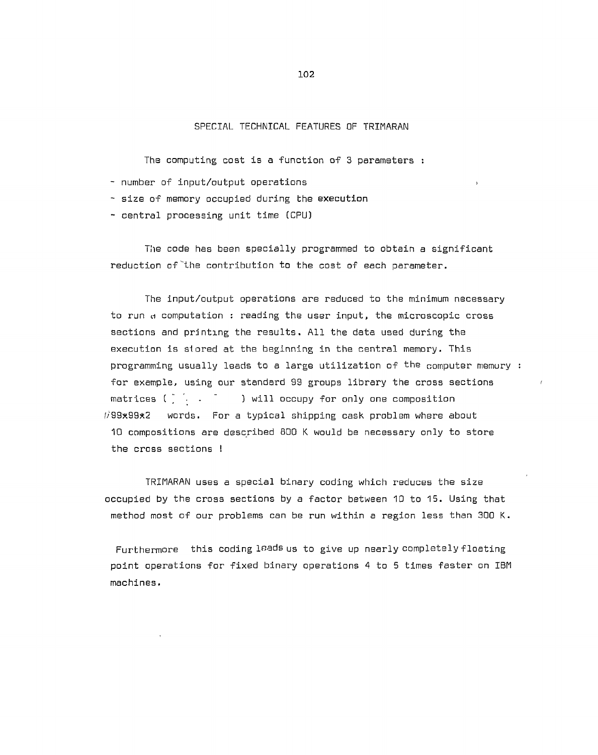# SPECIAL TECHNICAL FEATURES OF TRIMARAN

The computing cost is a function of 3 parameters :

- number of input/output operations
- size of memory occupied during the execution
- central processing unit time (CPU)

The code has been specially programmed to obtain a significant reduction af'the contribution to the cost of each parameter.

The input/output operations are reduced to the minimum necessary to run d computation : reading the user input, the microscopic cross sections and printing the results. All the data used during the execution is stored at the beginning in the central memory. This programming usually leads to a large utilization of the computer memory : for example, using our standard 99 groups library the cross sections matrices ( $\frac{1}{2}$   $\frac{1}{2}$   $\frac{1}{2}$   $\frac{1}{2}$   $\frac{1}{2}$   $\frac{1}{2}$   $\frac{1}{2}$  occupy for only one composition //99\*99\*2 words. For a typical shipping cask problem where about 10 compositions are described BOO K would be necessary only to store the cross sections !

TRIMARAN uses a special binary coding which reduces the size occupied by the cross sections by a factor between 10 to 15. Using that method most of our problems can be run within a region less than 300 K.

Furthermore this coding leads us to give up nearly completely floating point operations for fixed binary operations 4 to 5 times faster on IBM machines.

**102**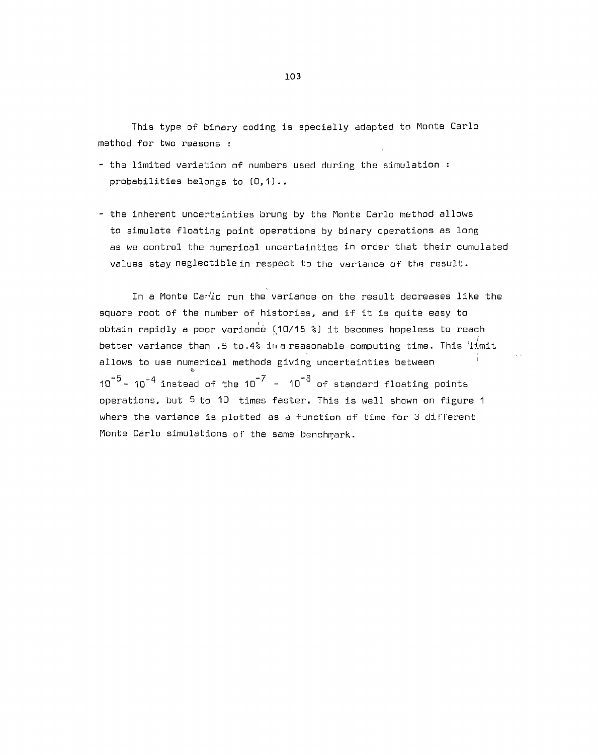This type of binary coding is specially adapted to Monte Carlo method for two reasons : t

- the limited variation of numbers used during the simulation : probabilities belongs to (0,1)..
- the inherent uncertainties brung by the Monte Carlo method allows to simulate floating point operations by binary operations as long as we control the numerical uncertainties in order that their cumulated values stay neglectiblein respect to the variance of the result.

In a Monte  $\text{Ca}^{3}$ ío run the variance on the result decreases like the square root of the number of histories, and if it is quite easy to obtain rapidly a poor variance (10/15 %} it becomes hopeless to reach  $\frac{1}{\sqrt{2}}$ better variance than .5 to.4% in a reasonable computing time. This limit allows to use numerical methods giving uncertainties between & 10  $\degree$ - 10 $\degree$  instead of the 10  $^\prime$  - 10  $^\circ$  of standard floating points operations, but 5 to 10 times faster. This is well shown on figure 1 where the variance is plotted as a function of time for 3 different Monte Carlo simulations of the same benchmark.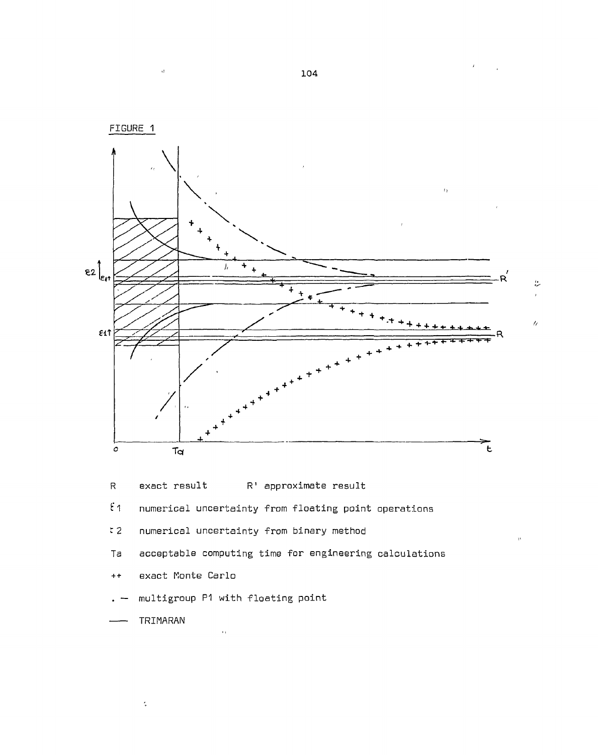

**104** 

 $\overline{\Omega}$ 

 $\frac{\epsilon}{\epsilon}$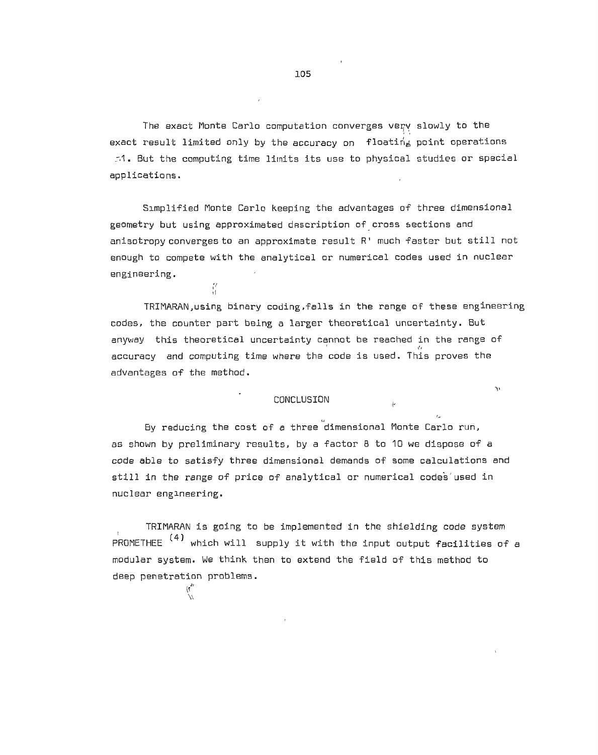The exact Monte Carlo computation converges very slowly to the exact result limited only by the accuracy on floating point operations r.1. But the computing time limits its use to physical studies or special applications.

Simplified Monte Carlo Keeping the advantages of three dimensional geometry but using approximated description of cross sections and anisotropy converges to an approximate result R' much faster but still not enough to compete with the analytical or numerical codes used in nuclear engineering.

**s' ii** 

deep penetration problems. **I**,*<sup>1</sup>***'** <sup>F</sup>

TRIMARAN,using binary coding,falls in the range of these engineering codes, the counter part being a larger theoretical uncertainty. But anyway this theoretical uncertainty cannot be reached in the range of accuracy and computing time where the code is used. This proves the advantages of the method.

 $\alpha$ 

## CONCLUSION

By reducing the cost of a three dimensional Monte Carlo run, as shown by preliminary results, by a factor 8 to 10 we dispose of a code able to satisfy three dimensional demands of some calculations and still in the range of price of analytical or numerical codes'used in nuclear engineering.

TRIMARAN is going to be implemented in the shielding code system PROMETHEE <sup>(4)</sup> which will supply it with the input output facilities of a modular system. We think then to extend the field of this method to deep penetration problems.